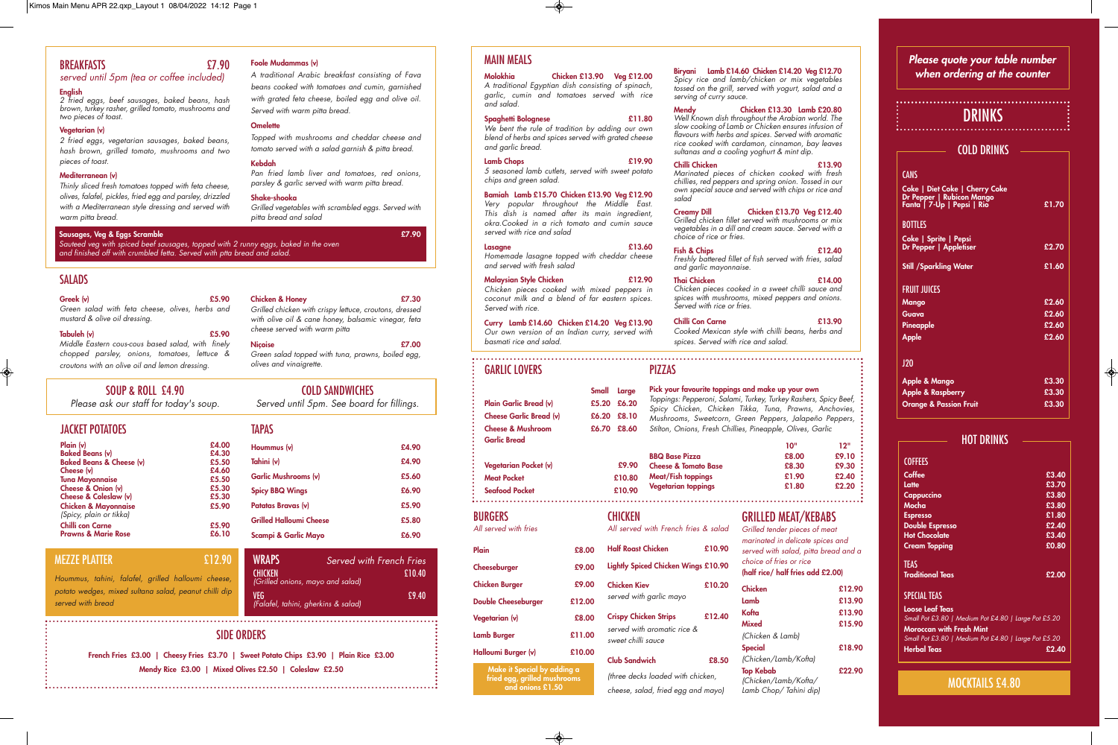| Plain                      | £8.00  |
|----------------------------|--------|
| Cheeseburger               | £9.00  |
| <b>Chicken Burger</b>      | £9.00  |
| <b>Double Cheeseburger</b> | £12.00 |
| Vegetarian (v)             | £8.00  |
| <b>Lamb Burger</b>         | £11.00 |
|                            |        |

All served with French fries & salad **Half Roast Chicken £10.90 Lightly Spiced Chicken Wings £10.90 Chicken Kiev £10.20** served with garlic mayo **Crispy Chicken Strips £12.40** served with aromatic rice & weet chilli sauce

| All served with tries |        | A.       |
|-----------------------|--------|----------|
| Plain                 | £8.00  | н        |
| Cheeseburger          | £9.00  | Lio      |
| <b>Chicken Burger</b> | £9.00  | Cl       |
| Double Cheeseburger   | £12.00 | se       |
| Vegetarian (v)        | £8.00  | Cı       |
| <b>Lamb Burger</b>    | £11.00 | se<br>sv |
| Halloumi Burger (v)   | £10.00 |          |

## **Club Sandwich £8.50**

(three decks loaded with chicken, cheese, salad, fried egg and mayo) GRILLED MEAT/KEBABS

Grilled tender pieces of meat marinated in delicate spices and served with salad, pitta bread and a choice of fries or rice **(half rice/ half fries add £2.00)**

| Chicken               | £12.90 |
|-----------------------|--------|
| Lamb                  | £13.90 |
| Kofta                 | £13.90 |
| Mixed                 | £15.90 |
| (Chicken & Lamb)      |        |
| Special               | £18.90 |
| (Chicken/Lamb/Kofta)  |        |
| <b>Top Kebab</b>      | £22.90 |
| (Chicken/Lamb/Kofta/  |        |
| Lamb Chop/Tahini dip) |        |

# 

# BREAKFASTS £7.90

# served until 5pm (tea or coffee included)

## **English**

2 fried eggs, beef sausages, baked beans, hash brown, turkey rasher, grilled tomato, mushrooms and two pieces of toast.

## **Vegetarian (v)**

2 fried eggs, vegetarian sausages, baked beans, hash brown, grilled tomato, mushrooms and two <sup>p</sup>ieces of toast.

#### **Mediterranean (v)**

Thinly sliced fresh tomatoes topped with feta cheese, olives, falafel, pickles, fried egg and parsley, drizzled with a Mediterranean style dressing and served with warm pitta bread.

#### **Foole Mudammas (v)**

A traditional Arabic breakfast consisting of Fava beans cooked with tomatoes and cumin, garnished with grated feta cheese, boiled egg and olive oil. Served with warm pitta bread.

## **Omelette**

Topped with mushrooms and cheddar cheese and tomato served with a salad garnish & pitta bread.

#### **Kebdah**

Pan fried lamb liver and tomatoes, red onions, parsley & garlic served with warm pitta bread.

We bent the rule of tradition by adding our own blend of herbs and spices served with grated cheese and garlic bread.

#### **Shake-shooka**

Grilled vegetables with scrambled eggs. Served with <sup>p</sup>itta bread and salad

| P <sub>l</sub> sin ( <i>v</i> )                            | £4.00 |
|------------------------------------------------------------|-------|
| <b>Baked Beans (v)</b>                                     | £4.30 |
| <b>Baked Beans &amp; Cheese (v)</b>                        | £5.50 |
| Cheese (v)                                                 | £4.60 |
| <b>Tuna Mayonnaise</b>                                     | £5.50 |
| Cheese & Onion (v)                                         | £5.30 |
| Cheese & Coleslaw (v)                                      | £5.30 |
| <b>Chicken &amp; Mayonnaise</b><br>(Spicy, plain or tikka) | £5.90 |
| <b>Chilli con Carne</b>                                    | £5.90 |
| <b>Prawns &amp; Marie Rose</b>                             | £6.10 |

| <b>TAPAS</b>                   |       |
|--------------------------------|-------|
| Hoummus (v)                    | £4.90 |
| Tahini (v)                     | £4.90 |
| <b>Garlic Mushrooms (v)</b>    | £5.60 |
| <b>Spicy BBQ Wings</b>         | £6.90 |
| Patatas Bravas (v)             | £5.90 |
| <b>Grilled Halloumi Cheese</b> | £5.80 |
| Scampi & Garlic Mayo           | £6.90 |

SOUP & ROLL £4.90

Please ask our staff for today's soup.

COLD SANDWICHES Served until 5pm. See board for fillings.

# **Greek (v) £5.90**

Green salad with feta cheese, olives, herbs and mustard & olive oil dressing.

#### **Tabuleh (v) £5.90**

Middle Eastern cous-cous based salad, with finely chopped parsley, onions, tomatoes, lettuce & croutons with an olive oil and lemon dressing.

#### **Chicken & Honey £7.30** Grilled chicken with crispy lettuce, croutons, dressed with olive oil & cane honey, balsamic vinegar, feta cheese served with warm pitta **Niçoise £7.00**

Green salad topped with tuna, prawns, boiled egg, olives and vinaigrette.

| <b>WRAPS</b>                                       | Served with French Fries |        |
|----------------------------------------------------|--------------------------|--------|
| <b>CHICKEN</b><br>(Grilled onions, mayo and salad) |                          | £10.40 |
| VEG<br>(Falafel, tahini, gherkins & salad)         |                          | £9.40  |

# MEZZE PLATTER £12.90

Hoummus, tahini, falafel, grilled halloumi cheese, potato wedges, mixed sultana salad, peanut chilli dip served with bread

# MAIN MEALS

**Molokhia Chicken £13.90 Veg £12.00** A traditional Egyptian dish consisting of spinach, garlic, cumin and tomatoes served with rice and salad.

#### **Spaghetti Bolognese £11.80**

#### **Lamb Chops £19.90**

5 seasoned lamb cutlets, served with sweet potato chips and green salad.

#### **Bamiah Lamb £15.70 Chicken £13.90 Veg £12.90**

Very popular throughout the Middle East. This dish is named after its main ingredient, okra.Cooked in a rich tomato and cumin sauce served with rice and salad

#### **Lasagne £13.60**

Homemade lasagne topped with cheddar cheese and served with fresh salad

#### **Malaysian Style Chicken £12.90**

Chicken pieces cooked with mixed peppers in coconut milk and a blend of far eastern spices. Served with rice.

**Curry Lamb £14.60 Chicken £14.20 Veg £13.90** Our own version of an Indian curry, served with basmati rice and salad.

**Biryani Lamb £14.60 Chicken £14.20 Veg £12.70** Spicy rice and lamb/chicken or mix vegetables tossed on the grill, served with yogurt, salad and a

serving of curry sauce.

**Mendy Chicken £13.30 Lamb £20.80** Well Known dish throughout the Arabian world. The

slow cooking of Lamb or Chicken ensures infusion of flavours with herbs and spices. Served with aromatic rice cooked with cardamon, cinnamon, bay leaves sultanas and a cooling yoghurt & mint dip. **Chilli Chicken £13.90**

Marinated pieces of chicken cooked with fresh chillies, red peppers and spring onion. Tossed in our own special sauce and served with chips or rice and salad

## **Creamy Dill Chicken £13.70 Veg £12.40**

Grilled chicken fillet served with mushrooms or mix vegetables in a dill and cream sauce. Served with a choice of rice or fries.

**Fish & Chips £12.40** Freshly battered fillet of fish served with fries, salad and garlic mayonnaise.

**Thai Chicken £14.00** Chicken pieces cooked in a sweet chilli sauce and spices with mushrooms, mixed peppers and onions. Served with rice or fries.

### **Chilli Con Carne £13.90**

Cooked Mexican style with chilli beans, herbs and spices. Served with rice and salad.

# GARLIC LOVERS

**Small Large Plain Garlic Bread (v) £5.20 £6.20 Cheese Garlic Bread (v) £6.20 £8.10 Cheese & Mushroom £6.70 £8.60 Garlic Bread Vegetarian Pocket (v) £9.90**

#### **Meat Pocket £10.80 Seafood Pocket £10.90**

BURGERS All served with frie

# PIZZAS

**Pick your favourite toppings and make up your own** Toppings: Pepperoni, Salami, Turkey, Turkey Rashers, Spicy Beef, Spicy Chicken, Chicken Tikka, Tuna, Prawns, Anchovies, Mushrooms, Sweetcorn, Green Peppers, Jalapeño Peppers, Stilton, Onions, Fresh Chillies, Pineapple, Olives, Garlic

| ייסו  | יי 12 |
|-------|-------|
| £8.00 | £9.10 |
| £8.30 | £9.30 |
| £1.90 | £2.40 |
| £1.80 | £2.20 |
|       |       |

**Make it Special by adding a and onions £1.50**

**fried egg, grilled mushrooms** 

**CHICKEN** 

| <b>COFFEES</b>                                       |       |
|------------------------------------------------------|-------|
| Coffee                                               | £3.40 |
| Latte                                                | £3.70 |
| Cappuccino                                           | £3.80 |
| Mocha                                                | £3.80 |
| <b>Espresso</b>                                      | £1.80 |
| <b>Double Espresso</b>                               | £2.40 |
| <b>Hot Chocolate</b>                                 | £3.40 |
| <b>Cream Topping</b>                                 | £0.80 |
| TEAS<br><b>Traditional Teas</b>                      | £2.00 |
|                                                      |       |
| <b>SPECIAL TEAS</b>                                  |       |
| Loose Leaf Teas                                      |       |
| Small Pot £3.80   Medium Pot £4.80   Large Pot £5.20 |       |
| <b>Moroccan with Fresh Mint</b>                      |       |
| Small Pot £3.80   Medium Pot £4.80   Large Pot £5.20 |       |
| <b>Herbal Teas</b>                                   | £2.40 |

HOT DRINKS

| <b>************</b><br><b>DRINKS</b>                                                             |       |
|--------------------------------------------------------------------------------------------------|-------|
| <b>COLD DRINKS</b>                                                                               |       |
| <b>CANS</b>                                                                                      |       |
| <b>Coke   Diet Coke   Cherry Coke</b><br>Dr Pepper   Rubicon Mango<br>Fanta   7-Up   Pepsi   Rio | £1.70 |
| <b>BOTTLES</b>                                                                                   |       |
| Coke   Sprite   Pepsi<br>Dr Pepper   Appletiser                                                  | £2.70 |
| <b>Still /Sparkling Water</b>                                                                    | £1.60 |
| <b>FRUIT JUICES</b>                                                                              |       |
| Mango                                                                                            | £2.60 |
| Guava                                                                                            | £2.60 |
| Pineapple                                                                                        | £2.60 |
| <b>Apple</b>                                                                                     | £2.60 |
| 120                                                                                              |       |
| <b>Apple &amp; Mango</b>                                                                         | £3.30 |
| <b>Apple &amp; Raspberry</b>                                                                     | £3.30 |
| <b>Orange &amp; Passion Fruit</b>                                                                | £3.30 |

# MOCKTAILS £4.80

# **Please quote your table number when ordering at the counter**

# SIDE ORDERS

**French Fries £3.00 | Cheesy Fries £3.70 | Sweet Potato Chips £3.90 | Plain Rice £3.00 Mendy Rice £3.00 | Mixed Olives £2.50 | Coleslaw £2.50**

#### **Sausages, Veg & Eggs Scramble £7.90**

Sauteed veg with spiced beef sausages, topped with 2 runny eggs, baked in the oven and finished off with crumbled fetta. Served with ptta bread and salad.

# **SALADS**